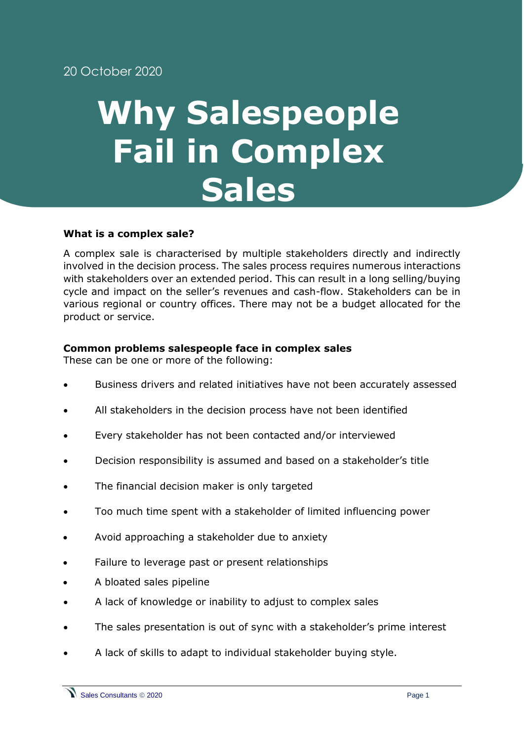## **Why Salespeople Fail in Complex Sales**

## **What is a complex sale?**

A complex sale is characterised by multiple stakeholders directly and indirectly involved in the decision process. The sales process requires numerous interactions with stakeholders over an extended period. This can result in a long selling/buying cycle and impact on the seller's revenues and cash-flow. Stakeholders can be in various regional or country offices. There may not be a budget allocated for the product or service.

## **Common problems salespeople face in complex sales**

These can be one or more of the following:

- Business drivers and related initiatives have not been accurately assessed
- All stakeholders in the decision process have not been identified
- Every stakeholder has not been contacted and/or interviewed
- Decision responsibility is assumed and based on a stakeholder's title
- The financial decision maker is only targeted
- Too much time spent with a stakeholder of limited influencing power
- Avoid approaching a stakeholder due to anxiety
- Failure to leverage past or present relationships
- A bloated sales pipeline
- A lack of knowledge or inability to adjust to complex sales
- The sales presentation is out of sync with a stakeholder's prime interest
- A lack of skills to adapt to individual stakeholder buying style.